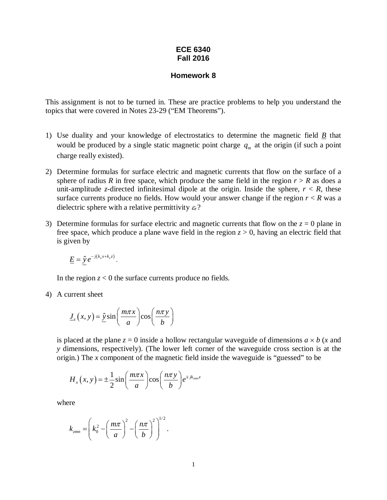## **ECE 6340 Fall 2016**

## **Homework 8**

This assignment is not to be turned in. These are practice problems to help you understand the topics that were covered in Notes 23-29 ("EM Theorems").

- 1) Use duality and your knowledge of electrostatics to determine the magnetic field *B* that would be produced by a single static magnetic point charge  $q<sub>m</sub>$  at the origin (if such a point charge really existed).
- 2) Determine formulas for surface electric and magnetic currents that flow on the surface of a sphere of radius *R* in free space, which produce the same field in the region  $r > R$  as does a unit-amplitude *z*-directed infinitesimal dipole at the origin. Inside the sphere,  $r < R$ , these surface currents produce no fields. How would your answer change if the region  $r < R$  was a dielectric sphere with a relative permittivity  $\varepsilon_r$ ?
- 3) Determine formulas for surface electric and magnetic currents that flow on the  $z = 0$  plane in free space, which produce a plane wave field in the region  $z > 0$ , having an electric field that is given by

$$
\underline{E} = \underline{\hat{y}} e^{-j(k_x x + k_z z)}.
$$

In the region  $z < 0$  the surface currents produce no fields.

4) A current sheet

$$
\underline{J}_s(x, y) = \hat{\underline{y}} \sin\left(\frac{m\pi x}{a}\right) \cos\left(\frac{n\pi y}{b}\right)
$$

is placed at the plane  $z = 0$  inside a hollow rectangular waveguide of dimensions  $a \times b$  (*x* and *y* dimensions, respectively). (The lower left corner of the waveguide cross section is at the origin.) The *x* component of the magnetic field inside the waveguide is "guessed" to be

$$
H_x(x, y) = \pm \frac{1}{2} \sin \left( \frac{m \pi x}{a} \right) \cos \left( \frac{n \pi y}{b} \right) e^{\mp j k_{\text{max}} z}
$$

where

$$
k_{zmn} = \left(k_0^2 - \left(\frac{m\pi}{a}\right)^2 - \left(\frac{n\pi}{b}\right)^2\right)^{1/2}.
$$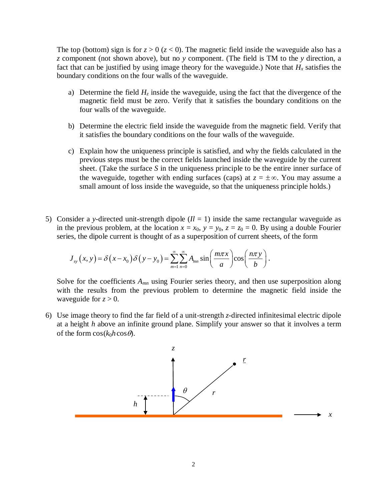The top (bottom) sign is for  $z > 0$  ( $z < 0$ ). The magnetic field inside the waveguide also has a *z* component (not shown above), but no *y* component. (The field is TM to the *y* direction, a fact that can be justified by using image theory for the waveguide.) Note that  $H_x$  satisfies the boundary conditions on the four walls of the waveguide.

- a) Determine the field  $H_z$  inside the waveguide, using the fact that the divergence of the magnetic field must be zero. Verify that it satisfies the boundary conditions on the four walls of the waveguide.
- b) Determine the electric field inside the waveguide from the magnetic field. Verify that it satisfies the boundary conditions on the four walls of the waveguide.
- c) Explain how the uniqueness principle is satisfied, and why the fields calculated in the previous steps must be the correct fields launched inside the waveguide by the current sheet. (Take the surface *S* in the uniqueness principle to be the entire inner surface of the waveguide, together with ending surfaces (caps) at  $z = \pm \infty$ . You may assume a small amount of loss inside the waveguide, so that the uniqueness principle holds.)
- 5) Consider a *y*-directed unit-strength dipole  $(I = 1)$  inside the same rectangular waveguide as in the previous problem, at the location  $x = x_0$ ,  $y = y_0$ ,  $z = z_0 = 0$ . By using a double Fourier series, the dipole current is thought of as a superposition of current sheets, of the form

$$
J_{xy}(x, y) = \delta(x - x_0) \delta(y - y_0) = \sum_{m=1}^{\infty} \sum_{n=0}^{\infty} A_{mn} \sin\left(\frac{m\pi x}{a}\right) \cos\left(\frac{n\pi y}{b}\right).
$$

Solve for the coefficients  $A_{mn}$  using Fourier series theory, and then use superposition along with the results from the previous problem to determine the magnetic field inside the waveguide for  $z > 0$ .

6) Use image theory to find the far field of a unit-strength *z*-directed infinitesimal electric dipole at a height *h* above an infinite ground plane. Simplify your answer so that it involves a term of the form  $\cos(k_0h\cos\theta)$ .

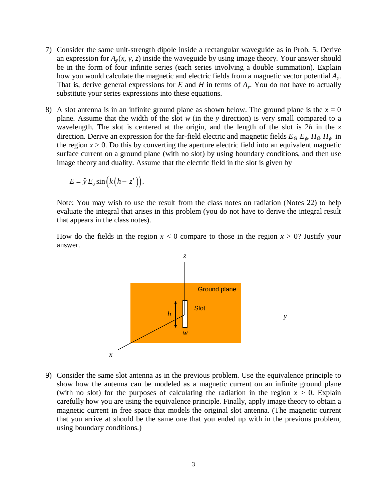- 7) Consider the same unit-strength dipole inside a rectangular waveguide as in Prob. 5. Derive an expression for  $A<sub>v</sub>(x, y, z)$  inside the waveguide by using image theory. Your answer should be in the form of four infinite series (each series involving a double summation). Explain how you would calculate the magnetic and electric fields from a magnetic vector potential *Ay*. That is, derive general expressions for  $\underline{E}$  and  $\underline{H}$  in terms of  $A<sub>y</sub>$ . You do not have to actually substitute your series expressions into these equations.
- 8) A slot antenna is in an infinite ground plane as shown below. The ground plane is the  $x = 0$ plane. Assume that the width of the slot *w* (in the *y* direction) is very small compared to a wavelength. The slot is centered at the origin, and the length of the slot is 2*h* in the *z* direction. Derive an expression for the far-field electric and magnetic fields  $E_{\theta}$ ,  $E_{\phi}$ ,  $H_{\theta}$ ,  $H_{\phi}$  in the region  $x > 0$ . Do this by converting the aperture electric field into an equivalent magnetic surface current on a ground plane (with no slot) by using boundary conditions, and then use image theory and duality. Assume that the electric field in the slot is given by

$$
\underline{E} = \hat{\underline{y}} E_0 \sin(k(h-|z'|)).
$$

Note: You may wish to use the result from the class notes on radiation (Notes 22) to help evaluate the integral that arises in this problem (you do not have to derive the integral result that appears in the class notes).

How do the fields in the region  $x < 0$  compare to those in the region  $x > 0$ ? Justify your answer.



9) Consider the same slot antenna as in the previous problem. Use the equivalence principle to show how the antenna can be modeled as a magnetic current on an infinite ground plane (with no slot) for the purposes of calculating the radiation in the region  $x > 0$ . Explain carefully how you are using the equivalence principle. Finally, apply image theory to obtain a magnetic current in free space that models the original slot antenna. (The magnetic current that you arrive at should be the same one that you ended up with in the previous problem, using boundary conditions.)